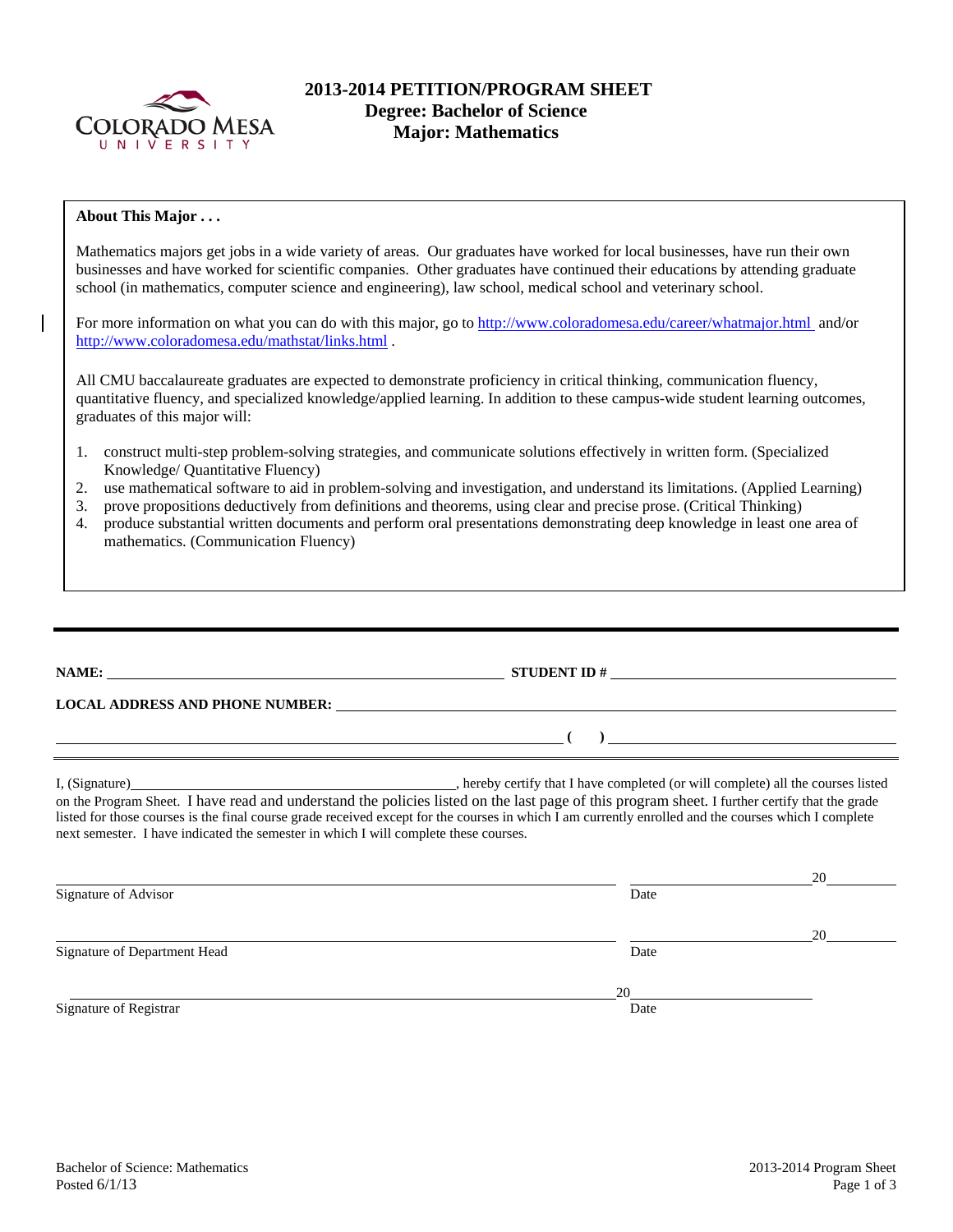

# **2013-2014 PETITION/PROGRAM SHEET Degree: Bachelor of Science Major: Mathematics**

### **About This Major . . .**

Mathematics majors get jobs in a wide variety of areas. Our graduates have worked for local businesses, have run their own businesses and have worked for scientific companies. Other graduates have continued their educations by attending graduate school (in mathematics, computer science and engineering), law school, medical school and veterinary school.

For more information on what you can do with this major, go to http://www.coloradomesa.edu/career/whatmajor.html and/or http://www.coloradomesa.edu/mathstat/links.html .

All CMU baccalaureate graduates are expected to demonstrate proficiency in critical thinking, communication fluency, quantitative fluency, and specialized knowledge/applied learning. In addition to these campus-wide student learning outcomes, graduates of this major will:

- 1. construct multi-step problem-solving strategies, and communicate solutions effectively in written form. (Specialized Knowledge/ Quantitative Fluency)
- 2. use mathematical software to aid in problem-solving and investigation, and understand its limitations. (Applied Learning)
- 3. prove propositions deductively from definitions and theorems, using clear and precise prose. (Critical Thinking)
- 4. produce substantial written documents and perform oral presentations demonstrating deep knowledge in least one area of mathematics. (Communication Fluency)

|                                                                                      | $\overline{a}$ ( )                                                                                                                                                                                                                                                                                    |  |
|--------------------------------------------------------------------------------------|-------------------------------------------------------------------------------------------------------------------------------------------------------------------------------------------------------------------------------------------------------------------------------------------------------|--|
| next semester. I have indicated the semester in which I will complete these courses. | on the Program Sheet. I have read and understand the policies listed on the last page of this program sheet. I further certify that the grade<br>listed for those courses is the final course grade received except for the courses in which I am currently enrolled and the courses which I complete |  |
| Signature of Advisor                                                                 | Date                                                                                                                                                                                                                                                                                                  |  |
| Signature of Department Head                                                         | Date                                                                                                                                                                                                                                                                                                  |  |

Signature of Registrar Date and Separature of Registrar Date and Separature of Registrar Date

 $\overline{\phantom{a}}$  20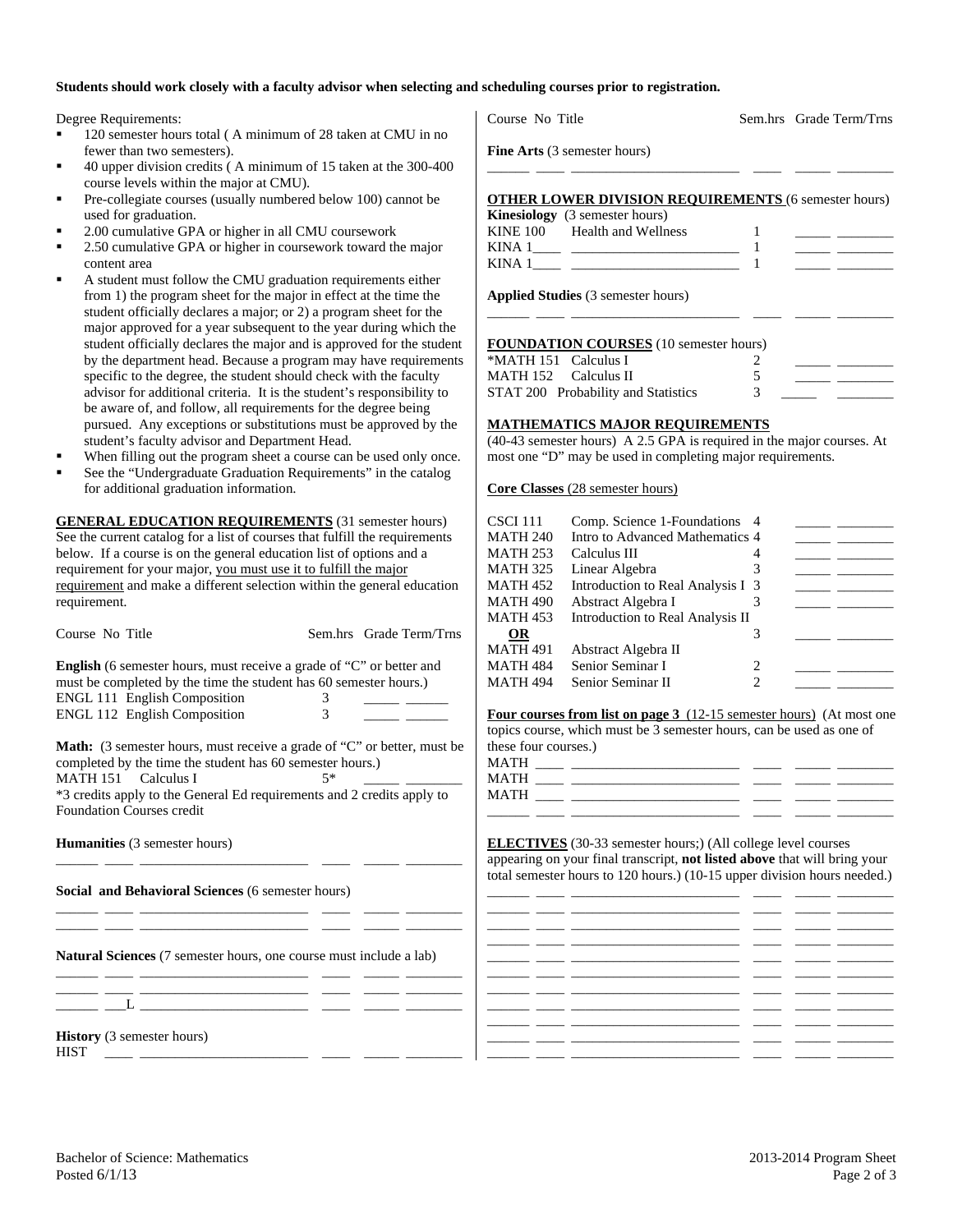## **Students should work closely with a faculty advisor when selecting and scheduling courses prior to registration.**

Degree Requirements:

- 120 semester hours total ( A minimum of 28 taken at CMU in no fewer than two semesters).
- 40 upper division credits ( A minimum of 15 taken at the 300-400 course levels within the major at CMU).
- Pre-collegiate courses (usually numbered below 100) cannot be used for graduation.
- 2.00 cumulative GPA or higher in all CMU coursework
- 2.50 cumulative GPA or higher in coursework toward the major content area
- A student must follow the CMU graduation requirements either from 1) the program sheet for the major in effect at the time the student officially declares a major; or 2) a program sheet for the major approved for a year subsequent to the year during which the student officially declares the major and is approved for the student by the department head. Because a program may have requirements specific to the degree, the student should check with the faculty advisor for additional criteria. It is the student's responsibility to be aware of, and follow, all requirements for the degree being pursued. Any exceptions or substitutions must be approved by the student's faculty advisor and Department Head.
- When filling out the program sheet a course can be used only once.
- See the "Undergraduate Graduation Requirements" in the catalog for additional graduation information.

**GENERAL EDUCATION REQUIREMENTS** (31 semester hours) See the current catalog for a list of courses that fulfill the requirements below. If a course is on the general education list of options and a requirement for your major, you must use it to fulfill the major requirement and make a different selection within the general education requirement.

| Course No Title                                                                                                        | Sem.hrs Grade Term/Trns | OR                   |                                                                                                                       | 3              |  |
|------------------------------------------------------------------------------------------------------------------------|-------------------------|----------------------|-----------------------------------------------------------------------------------------------------------------------|----------------|--|
|                                                                                                                        |                         | <b>MATH 491</b>      | Abstract Algebra II                                                                                                   |                |  |
| <b>English</b> (6 semester hours, must receive a grade of "C" or better and                                            |                         | <b>MATH 484</b>      | Senior Seminar I                                                                                                      |                |  |
| must be completed by the time the student has 60 semester hours.)                                                      |                         | <b>MATH 494</b>      | Senior Seminar II                                                                                                     | $\overline{2}$ |  |
| ENGL 111 English Composition                                                                                           | $3^{\circ}$             |                      |                                                                                                                       |                |  |
| ENGL 112 English Composition                                                                                           | 3                       |                      | <b>Four courses from list on page 3</b> (12-15 semester hours) (At most one                                           |                |  |
|                                                                                                                        |                         |                      | topics course, which must be 3 semester hours, can be used as one of                                                  |                |  |
| <b>Math:</b> (3 semester hours, must receive a grade of "C" or better, must be                                         |                         | these four courses.) |                                                                                                                       |                |  |
| completed by the time the student has 60 semester hours.)                                                              |                         |                      |                                                                                                                       |                |  |
| MATH 151 Calculus I                                                                                                    | $5*$                    |                      |                                                                                                                       |                |  |
| *3 credits apply to the General Ed requirements and 2 credits apply to                                                 |                         |                      |                                                                                                                       |                |  |
| <b>Foundation Courses credit</b>                                                                                       |                         |                      | <u> 1989 - Andrea Stadt, fransk politiker (d. 1989)</u>                                                               |                |  |
|                                                                                                                        |                         |                      |                                                                                                                       |                |  |
| <b>Humanities</b> (3 semester hours)                                                                                   |                         |                      | <b>ELECTIVES</b> (30-33 semester hours;) (All college level courses                                                   |                |  |
|                                                                                                                        |                         |                      | appearing on your final transcript, not listed above that will bring your                                             |                |  |
|                                                                                                                        |                         |                      | total semester hours to 120 hours.) (10-15 upper division hours needed.)                                              |                |  |
| Social and Behavioral Sciences (6 semester hours)                                                                      |                         |                      | <u> 1981 - Johann John Stone, mars et al. (</u> † 1922)                                                               |                |  |
|                                                                                                                        |                         |                      |                                                                                                                       |                |  |
|                                                                                                                        |                         |                      |                                                                                                                       |                |  |
|                                                                                                                        |                         |                      |                                                                                                                       |                |  |
| <b>Natural Sciences</b> (7 semester hours, one course must include a lab)                                              |                         |                      | <u> 1990 - Jan James James Barnett, amerikansk politiker (d. 1980)</u>                                                |                |  |
|                                                                                                                        |                         |                      | <u> 1965 - John Schweizer, schweizer am der Schweizer (d. 1989)</u>                                                   |                |  |
| <u> 1989 - Johann Harrison, mars eta inperiodo eta inperiodo eta inperiodo eta inperiodo eta inperiodo eta inperio</u> |                         |                      | <u> 22 maart - 22 maart - 23 maart - 23 maart - 23 maart - 23 maart - 23 maart - 23 maart - 23 maart - 23 maart -</u> |                |  |
| <u>L</u> _________________ ____ _____ _____                                                                            |                         |                      | <u> 2000 - 2000 - 2000 - 2000 - 2000 - 2000 - 2000 - 2000 - 2000 - 2000 - 2000 - 2000 - 2000 - 2000 - 2000 - 200</u>  |                |  |
|                                                                                                                        |                         |                      | <u>المستقبل المستقبل المستقبل المستقبل المستقبل المستقبل المستقبل المستقبل المستقبل المستقبل المستقبل المستقبل ا</u>  |                |  |
| <b>History</b> (3 semester hours)                                                                                      |                         |                      |                                                                                                                       |                |  |
| <b>HIST</b>                                                                                                            |                         |                      |                                                                                                                       |                |  |

**OTHER LOWER DIVISION REQUIREMENTS** (6 semester hours) **Kinesiology** (3 semester hours) KINE  $100$  Health and Wellness  $1$ KINA  $1 \qquad \qquad$   $1$ KINA 1\_\_\_\_ \_\_\_\_\_\_\_\_\_\_\_\_\_\_\_\_\_\_\_\_\_\_\_\_ 1 \_\_\_\_\_ \_\_\_\_\_\_\_\_

\_\_\_\_\_\_ \_\_\_\_ \_\_\_\_\_\_\_\_\_\_\_\_\_\_\_\_\_\_\_\_\_\_\_\_ \_\_\_\_ \_\_\_\_\_ \_\_\_\_\_\_\_\_

**Applied Studies** (3 semester hours)

#### **FOUNDATION COURSES** (10 semester hours)

| *MATH 151 Calculus I                |  |  |
|-------------------------------------|--|--|
| MATH 152 Calculus II                |  |  |
| STAT 200 Probability and Statistics |  |  |

\_\_\_\_\_\_ \_\_\_\_ \_\_\_\_\_\_\_\_\_\_\_\_\_\_\_\_\_\_\_\_\_\_\_\_ \_\_\_\_ \_\_\_\_\_ \_\_\_\_\_\_\_\_

### **MATHEMATICS MAJOR REQUIREMENTS**

(40-43 semester hours) A 2.5 GPA is required in the major courses. At most one "D" may be used in completing major requirements.

**Core Classes** (28 semester hours)

| CSCI 111  | Comp. Science 1-Foundations 4     |   |  |
|-----------|-----------------------------------|---|--|
| MATH 240  | Intro to Advanced Mathematics 4   |   |  |
| MATH 253  | Calculus III                      |   |  |
| MATH 325  | Linear Algebra                    |   |  |
| MATH 452  | Introduction to Real Analysis I 3 |   |  |
| MATH 490  | Abstract Algebra I                |   |  |
| MATH 453  | Introduction to Real Analysis II  |   |  |
| <b>OR</b> |                                   |   |  |
| MATH 491  | Abstract Algebra II               |   |  |
| MATH 484  | Senior Seminar I                  | 2 |  |
| MATH 494  | Senior Seminar II                 |   |  |
|           |                                   |   |  |

| MATH |  |  |  |
|------|--|--|--|
| MATH |  |  |  |
| MATH |  |  |  |
|      |  |  |  |

**Fine Arts** (3 semester hours)

Course No Title Sem.hrs Grade Term/Trns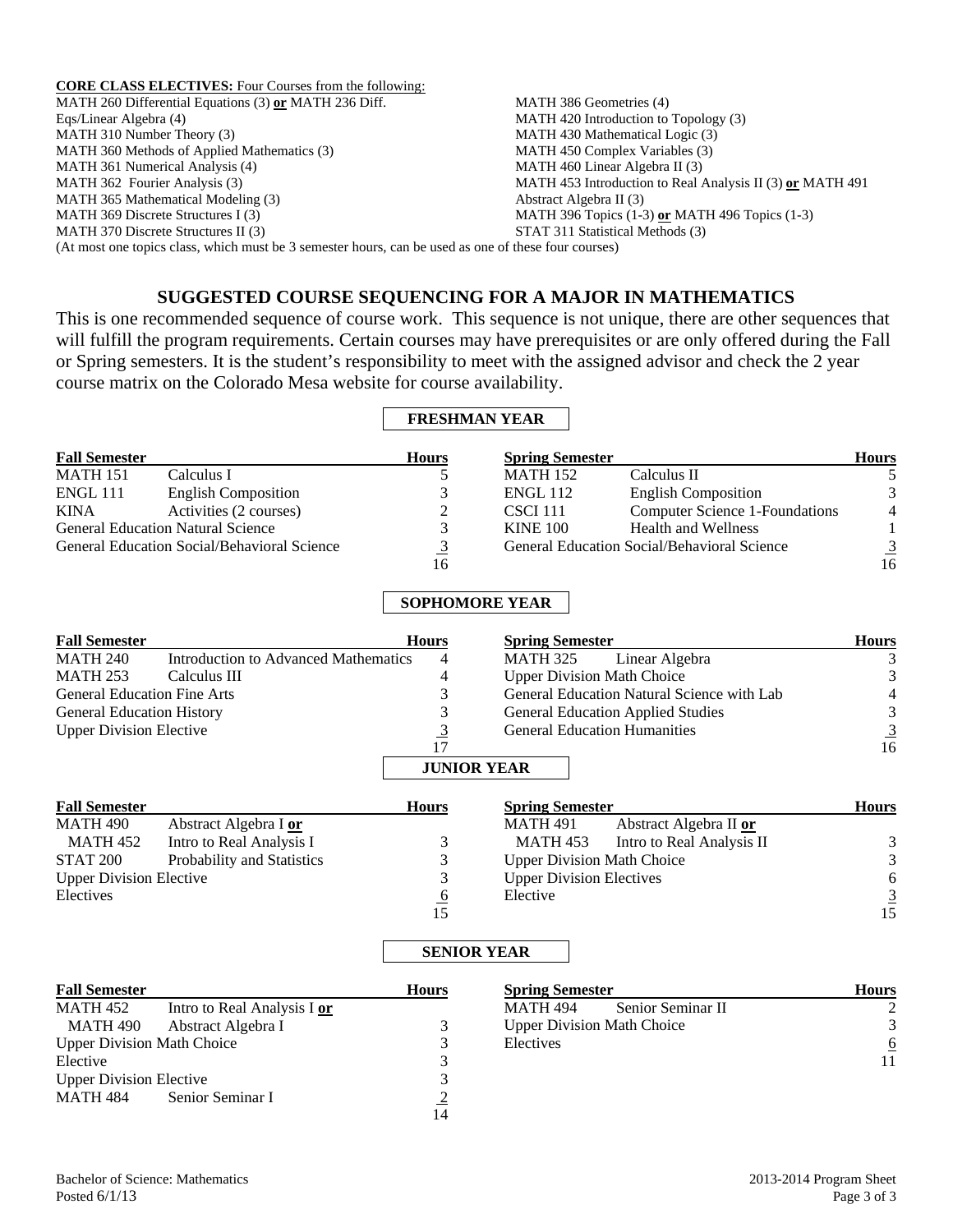**CORE CLASS ELECTIVES:** Four Courses from the following: MATH 260 Differential Equations (3) **or** MATH 236 Diff. Eqs/Linear Algebra (4) MATH 310 Number Theory (3) MATH 360 Methods of Applied Mathematics (3) MATH 361 Numerical Analysis (4) MATH 362 Fourier Analysis (3) MATH 365 Mathematical Modeling (3) MATH 369 Discrete Structures I (3) MATH 370 Discrete Structures II (3) MATH 386 Geometries (4) MATH 420 Introduction to Topology (3) MATH 430 Mathematical Logic (3) MATH 450 Complex Variables (3) MATH 460 Linear Algebra II (3) MATH 453 Introduction to Real Analysis II (3) **or** MATH 491 Abstract Algebra II (3) MATH 396 Topics (1-3) **or** MATH 496 Topics (1-3) STAT 311 Statistical Methods (3) (At most one topics class, which must be 3 semester hours, can be used as one of these four courses)

# **SUGGESTED COURSE SEQUENCING FOR A MAJOR IN MATHEMATICS**

This is one recommended sequence of course work. This sequence is not unique, there are other sequences that will fulfill the program requirements. Certain courses may have prerequisites or are only offered during the Fall or Spring semesters. It is the student's responsibility to meet with the assigned advisor and check the 2 year course matrix on the Colorado Mesa website for course availability.

## **FRESHMAN YEAR**

| <b>Fall Semester</b> |                                             | <b>Hours</b> | <b>Spring Semester</b> |                                             | <b>Hours</b>   |
|----------------------|---------------------------------------------|--------------|------------------------|---------------------------------------------|----------------|
| <b>MATH 151</b>      | Calculus I                                  |              | <b>MATH 152</b>        | Calculus II                                 |                |
| <b>ENGL 111</b>      | <b>English Composition</b>                  |              | <b>ENGL 112</b>        | <b>English Composition</b>                  | 3              |
| <b>KINA</b>          | Activities (2 courses)                      |              | CSCI 111               | Computer Science 1-Foundations              | $\overline{4}$ |
|                      | <b>General Education Natural Science</b>    |              | <b>KINE 100</b>        | <b>Health and Wellness</b>                  |                |
|                      | General Education Social/Behavioral Science |              |                        | General Education Social/Behavioral Science | $\overline{3}$ |
|                      |                                             | 16           |                        |                                             | 16             |

# **SOPHOMORE YEAR**

| <b>Fall Semester</b>               |                                      | <b>Hours</b>       | <b>Spring Semester</b>                     | <b>Hours</b>   |
|------------------------------------|--------------------------------------|--------------------|--------------------------------------------|----------------|
| <b>MATH 240</b>                    | Introduction to Advanced Mathematics | 4                  | <b>MATH 325</b><br>Linear Algebra          |                |
| <b>MATH 253</b>                    | Calculus III                         | 4                  | <b>Upper Division Math Choice</b>          |                |
| <b>General Education Fine Arts</b> |                                      |                    | General Education Natural Science with Lab | $\overline{4}$ |
| <b>General Education History</b>   |                                      |                    | <b>General Education Applied Studies</b>   | 3              |
| <b>Upper Division Elective</b>     |                                      |                    | <b>General Education Humanities</b>        |                |
|                                    |                                      | 17                 |                                            | 16             |
|                                    |                                      | <b>JUNIOR YEAR</b> |                                            |                |
|                                    |                                      |                    |                                            |                |

| <b>Fall Semester</b>           |                            | <b>Hours</b> | <b>Spring Semester</b>                | <b>Hours</b>   |
|--------------------------------|----------------------------|--------------|---------------------------------------|----------------|
| MATH 490                       | Abstract Algebra I or      |              | Abstract Algebra II or<br>MATH 491    |                |
| MATH 452                       | Intro to Real Analysis I   |              | Intro to Real Analysis II<br>MATH 453 | 3              |
| STAT 200                       | Probability and Statistics |              | <b>Upper Division Math Choice</b>     |                |
| <b>Upper Division Elective</b> |                            |              | <b>Upper Division Electives</b>       | 6              |
| Electives                      |                            | $\mathbf{p}$ | Elective                              | $\overline{3}$ |
|                                |                            |              |                                       | 15             |

## **SENIOR YEAR**

| <b>Fall Semester</b>              |                             | <b>Hours</b>   | <b>Spring Semester</b>            | <b>Hours</b> |
|-----------------------------------|-----------------------------|----------------|-----------------------------------|--------------|
| MATH 452                          | Intro to Real Analysis I or |                | Senior Seminar II<br>MATH 494     |              |
| MATH 490                          | Abstract Algebra I          |                | <b>Upper Division Math Choice</b> |              |
| <b>Upper Division Math Choice</b> |                             |                | Electives                         | <u>6</u>     |
| Elective                          |                             |                |                                   | 11           |
| <b>Upper Division Elective</b>    |                             |                |                                   |              |
| MATH 484                          | Senior Seminar I            |                |                                   |              |
|                                   |                             | $\overline{4}$ |                                   |              |

14